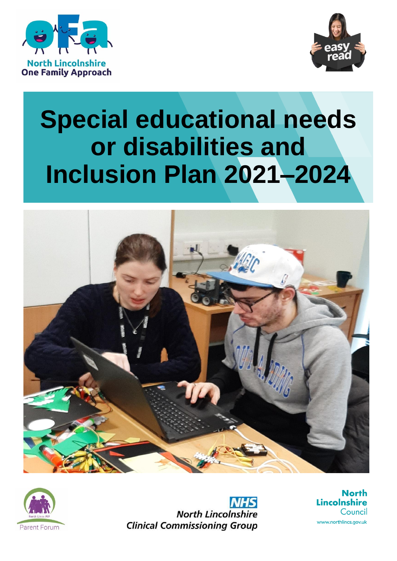



# **Special educational needs or disabilities and Inclusion Plan 2021–2024**





**NHS North Lincolnshire Clinical Commissioning Group** 

**North** Lincolnshire Council www.northlincs.gov.uk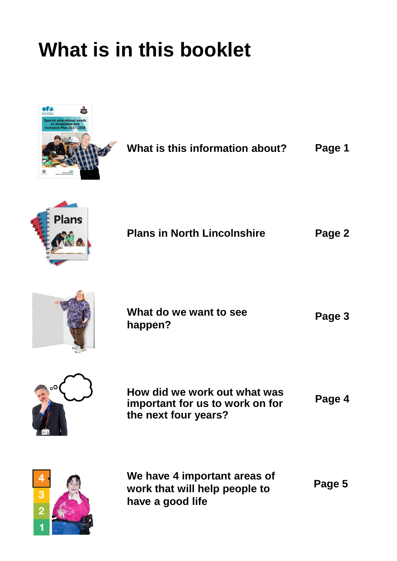# **What is in this booklet**



|  | What is this information about? | Page 1 |
|--|---------------------------------|--------|
|  |                                 |        |



| <b>Plans in North Lincolnshire</b> | Page 2 |
|------------------------------------|--------|
|------------------------------------|--------|



| What do we want to see | Page 3 |
|------------------------|--------|
| happen?                |        |



**How did we work out what was important for us to work on for the next four years? Page 4**



**We have 4 important areas of work that will help people to have a good life**

**Page 5**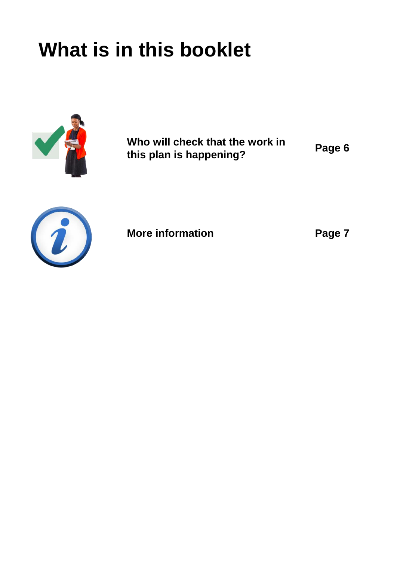# **What is in this booklet**



**Who will check that the work in this plan is happening?**

**Page 6**



**More information**

**Page 7**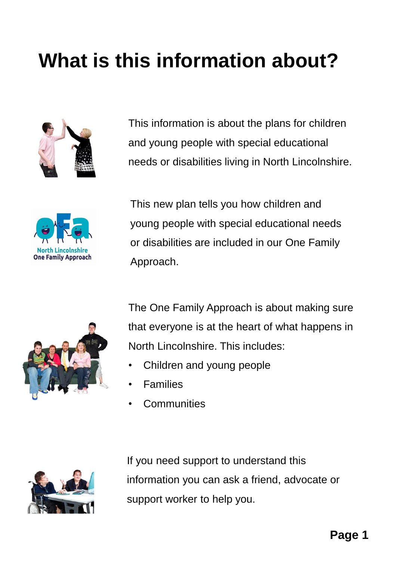# **What is this information about?**



This information is about the plans for children and young people with special educational needs or disabilities living in North Lincolnshire.



This new plan tells you how children and young people with special educational needs or disabilities are included in our One Family Approach.



The One Family Approach is about making sure that everyone is at the heart of what happens in North Lincolnshire. This includes:

- Children and young people
- **Families**
- **Communities**



If you need support to understand this information you can ask a friend, advocate or support worker to help you.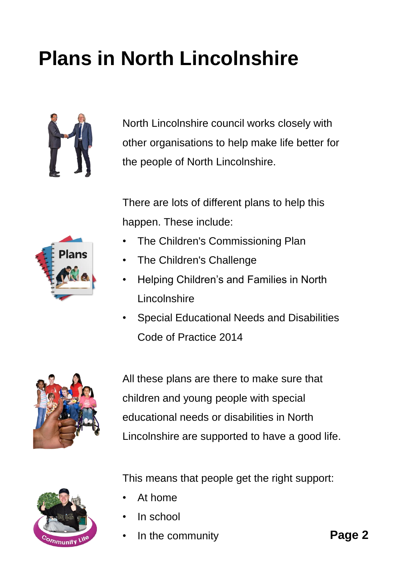# **Plans in North Lincolnshire**



**Plans** 

North Lincolnshire council works closely with other organisations to help make life better for the people of North Lincolnshire.

There are lots of different plans to help this happen. These include:

- The Children's Commissioning Plan
- The Children's Challenge
- Helping Children's and Families in North **Lincolnshire**
- Special Educational Needs and Disabilities Code of Practice 2014



All these plans are there to make sure that children and young people with special educational needs or disabilities in North Lincolnshire are supported to have a good life.



This means that people get the right support:

- At home
- In school
- In the community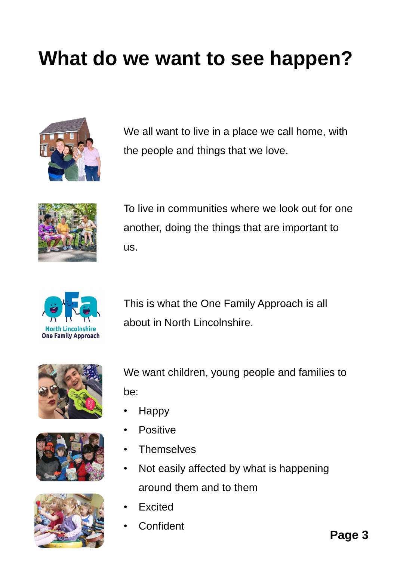### **What do we want to see happen?**



We all want to live in a place we call home, with the people and things that we love.



To live in communities where we look out for one another, doing the things that are important to us.



This is what the One Family Approach is all about in North Lincolnshire.







We want children, young people and families to be:

- Happy
- Positive
- Themselves
- Not easily affected by what is happening around them and to them
- **Excited**
- **Confident**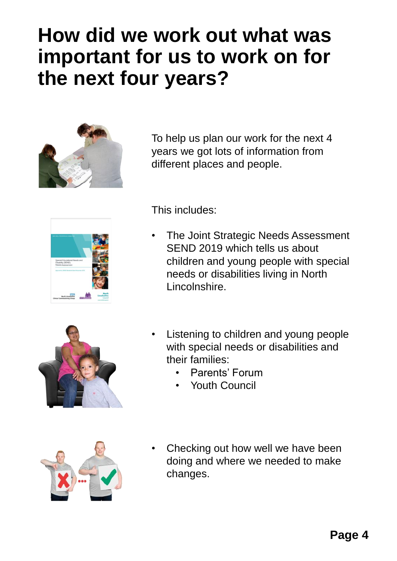#### **How did we work out what was important for us to work on for the next four years?**



To help us plan our work for the next 4 years we got lots of information from different places and people.





This includes:

- The Joint Strategic Needs Assessment SEND 2019 which tells us about children and young people with special needs or disabilities living in North Lincolnshire.
- Listening to children and young people with special needs or disabilities and their families:
	- Parents' Forum
	- Youth Council



Checking out how well we have been doing and where we needed to make changes.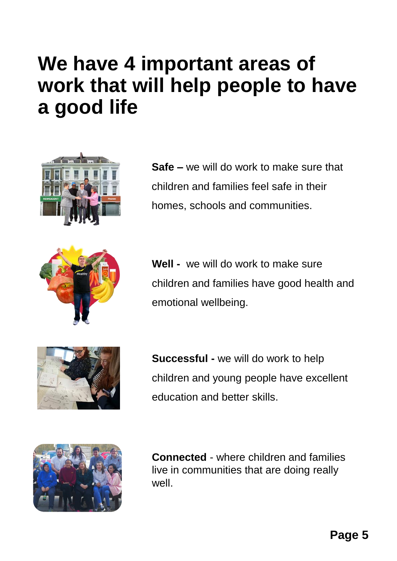#### **We have 4 important areas of work that will help people to have a good life**







**Well -** we will do work to make sure children and families have good health and emotional wellbeing.



**Successful -** we will do work to help children and young people have excellent education and better skills.



**Connected** - where children and families live in communities that are doing really well.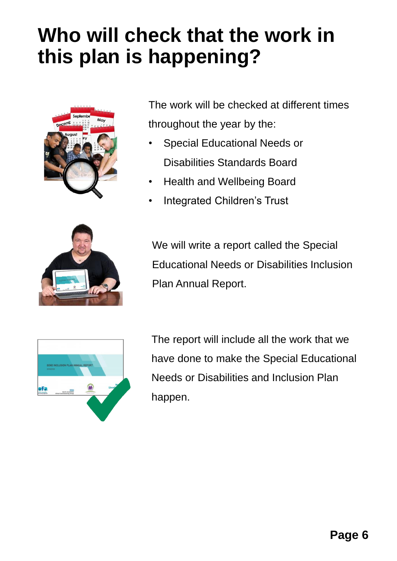### **Who will check that the work in this plan is happening?**



The work will be checked at different times throughout the year by the:

- Special Educational Needs or Disabilities Standards Board
- Health and Wellbeing Board
- Integrated Children's Trust



We will write a report called the Special Educational Needs or Disabilities Inclusion Plan Annual Report.



The report will include all the work that we have done to make the Special Educational Needs or Disabilities and Inclusion Plan happen.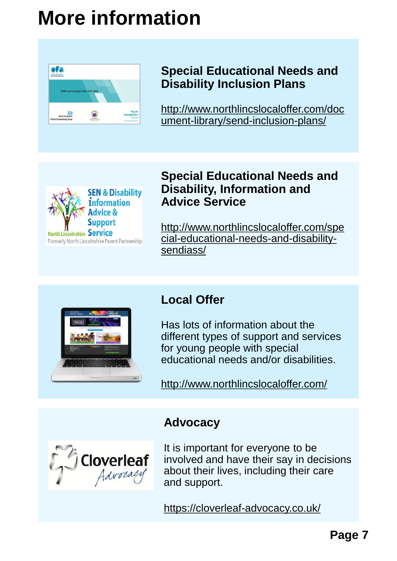### **More information**



#### **Special Educational Needs and Disability Inclusion Plans**

[http://www.northlincslocaloffer.com/doc](http://www.northlincslocaloffer.com/document-library/send-inclusion-plans/) ument-library/send-inclusion-plans/



#### **Special Educational Needs and Disability, Information and Advice Service**

http://www.northlincslocaloffer.com/spe [cial-educational-needs-and-disability](http://www.northlincslocaloffer.com/special-educational-needs-and-disability-sendiass/)sendiass/



#### **Local Offer**

Has lots of information about the different types of support and services for young people with special educational needs and/or disabilities.

<http://www.northlincslocaloffer.com/>



**Advocacy**

It is important for everyone to be involved and have their say in decisions about their lives, including their care and support.

<https://cloverleaf-advocacy.co.uk/>